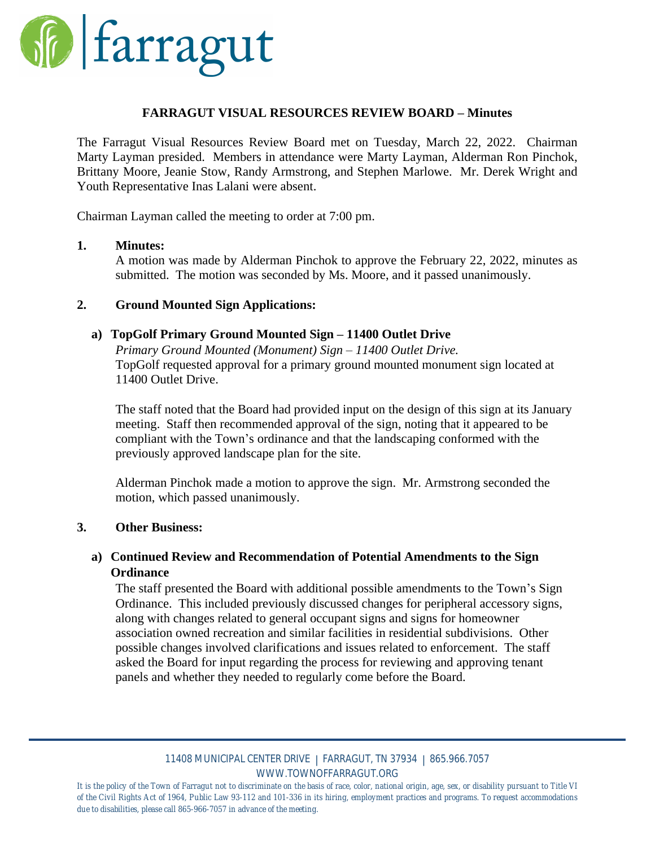

## **FARRAGUT VISUAL RESOURCES REVIEW BOARD – Minutes**

The Farragut Visual Resources Review Board met on Tuesday, March 22, 2022. Chairman Marty Layman presided. Members in attendance were Marty Layman, Alderman Ron Pinchok, Brittany Moore, Jeanie Stow, Randy Armstrong, and Stephen Marlowe. Mr. Derek Wright and Youth Representative Inas Lalani were absent.

Chairman Layman called the meeting to order at 7:00 pm.

# **1. Minutes:**

A motion was made by Alderman Pinchok to approve the February 22, 2022, minutes as submitted. The motion was seconded by Ms. Moore, and it passed unanimously.

## **2. Ground Mounted Sign Applications:**

# **a) TopGolf Primary Ground Mounted Sign – 11400 Outlet Drive**

*Primary Ground Mounted (Monument) Sign – 11400 Outlet Drive.* TopGolf requested approval for a primary ground mounted monument sign located at 11400 Outlet Drive.

The staff noted that the Board had provided input on the design of this sign at its January meeting. Staff then recommended approval of the sign, noting that it appeared to be compliant with the Town's ordinance and that the landscaping conformed with the previously approved landscape plan for the site.

Alderman Pinchok made a motion to approve the sign. Mr. Armstrong seconded the motion, which passed unanimously.

#### **3. Other Business:**

# **a) Continued Review and Recommendation of Potential Amendments to the Sign Ordinance**

The staff presented the Board with additional possible amendments to the Town's Sign Ordinance. This included previously discussed changes for peripheral accessory signs, along with changes related to general occupant signs and signs for homeowner association owned recreation and similar facilities in residential subdivisions. Other possible changes involved clarifications and issues related to enforcement. The staff asked the Board for input regarding the process for reviewing and approving tenant panels and whether they needed to regularly come before the Board.

#### 11408 MUNICIPAL CENTER DRIVE | FARRAGUT, TN 37934 | 865.966.7057 WWW.TOWNOFFARRAGUT.ORG

It is the policy of the Town of Farragut not to discriminate on the basis of race, color, national origin, age, sex, or disability pursuant to Title VI of the Civil Rights Act of 1964, Public Law 93-112 and 101-336 in its hiring, employment practices and programs. To request accommodations *due to disabilities, please call 865-966-7057 in advance of the meeting.*